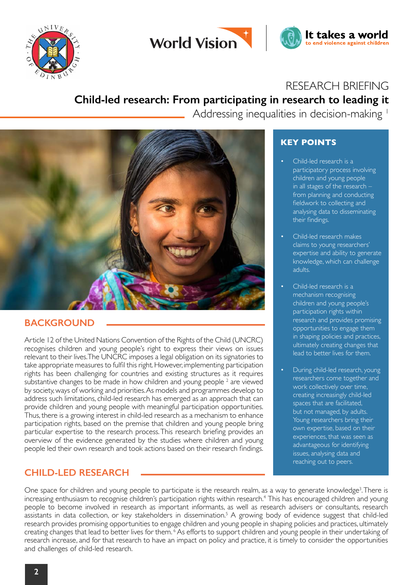



# RESEARCH BRIEFING

It takes a world

to end violence against children

# **Child-led research: From participating in research to leading it**

Addressing inequalities in decision-making 1



## **BACKGROUND**

Article 12 of the United Nations Convention of the Rights of the Child (UNCRC) recognises children and young people's right to express their views on issues relevant to their lives. The UNCRC imposes a legal obligation on its signatories to take appropriate measures to fulfil this right. However, implementing participation rights has been challenging for countries and existing structures as it requires substantive changes to be made in how children and young people  $^2$  are viewed by society, ways of working and priorities. As models and programmes develop to address such limitations, child-led research has emerged as an approach that can provide children and young people with meaningful participation opportunities. Thus, there is a growing interest in child-led research as a mechanism to enhance participation rights, based on the premise that children and young people bring particular expertise to the research process. This research briefing provides an overview of the evidence generated by the studies where children and young people led their own research and took actions based on their research findings.

### **CHILD-LED RESEARCH**

## **KEY POINTS**

- Child-led research is a participatory process involving children and young people in all stages of the research – from planning and conducting fieldwork to collecting and analysing data to disseminating their findings.
- Child-led research makes claims to young researchers' expertise and ability to generate knowledge, which can challenge adults.
- Child-led research is a mechanism recognising children and young people's participation rights within research and provides promising opportunities to engage them in shaping policies and practices, ultimately creating changes that lead to better lives for them.
- During child-led research, young researchers come together and work collectively over time, creating increasingly child-led spaces that are facilitated, but not managed, by adults. Young researchers bring their own expertise, based on their experiences, that was seen as advantageous for identifying issues, analysing data and reaching out to peers.

One space for children and young people to participate is the research realm, as a way to generate knowledge<sup>3</sup>. There is increasing enthusiasm to recognise children's participation rights within research.4 This has encouraged children and young people to become involved in research as important informants, as well as research advisers or consultants, research assistants in data collection, or key stakeholders in dissemination.<sup>5</sup> A growing body of evidence suggest that child-led research provides promising opportunities to engage children and young people in shaping policies and practices, ultimately creating changes that lead to better lives for them. <sup>6</sup> As efforts to support children and young people in their undertaking of research increase, and for that research to have an impact on policy and practice, it is timely to consider the opportunities and challenges of child-led research.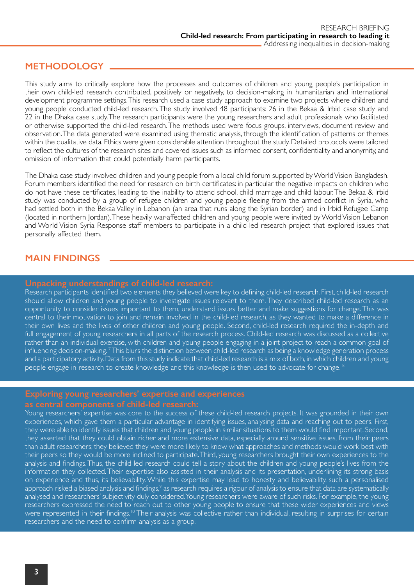### **METHODOLOGY**

This study aims to critically explore how the processes and outcomes of children and young people's participation in their own child-led research contributed, positively or negatively, to decision-making in humanitarian and international development programme settings. This research used a case study approach to examine two projects where children and young people conducted child-led research. The study involved 48 participants: 26 in the Bekaa & Irbid case study and 22 in the Dhaka case study. The research participants were the young researchers and adult professionals who facilitated or otherwise supported the child-led research. The methods used were focus groups, interviews, document review and observation. The data generated were examined using thematic analysis, through the identification of patterns or themes within the qualitative data. Ethics were given considerable attention throughout the study. Detailed protocols were tailored to reflect the cultures of the research sites and covered issues such as informed consent, confidentiality and anonymity, and omission of information that could potentially harm participants.

The Dhaka case study involved children and young people from a local child forum supported by World Vision Bangladesh. Forum members identified the need for research on birth certificates: in particular the negative impacts on children who do not have these certificates, leading to the inability to attend school, child marriage and child labour. The Bekaa & Irbid study was conducted by a group of refugee children and young people fleeing from the armed conflict in Syria, who had settled both in the Bekaa Valley in Lebanon (an area that runs along the Syrian border) and in Irbid Refugee Camp (located in northern Jordan). These heavily war-affected children and young people were invited by World Vision Lebanon and World Vision Syria Response staff members to participate in a child-led research project that explored issues that personally affected them.

### **MAIN FINDINGS**

Research participants identified two elements they believed were key to defining child-led research. First, child-led research should allow children and young people to investigate issues relevant to them. They described child-led research as an opportunity to consider issues important to them, understand issues better and make suggestions for change. This was central to their motivation to join and remain involved in the child-led research, as they wanted to make a difference in their own lives and the lives of other children and young people. Second, child-led research required the in-depth and full engagement of young researchers in all parts of the research process. Child-led research was discussed as a collective rather than an individual exercise, with children and young people engaging in a joint project to reach a common goal of influencing decision-making. <sup>7</sup>This blurs the distinction between child-led research as being a knowledge generation process and a participatory activity. Data from this study indicate that child-led research is a mix of both, in which children and young people engage in research to create knowledge and this knowledge is then used to advocate for change. <sup>8</sup>

Young researchers' expertise was core to the success of these child-led research projects. It was grounded in their own experiences, which gave them a particular advantage in identifying issues, analysing data and reaching out to peers. First, they were able to identify issues that children and young people in similar situations to them would find important. Second, they asserted that they could obtain richer and more extensive data, especially around sensitive issues, from their peers than adult researchers; they believed they were more likely to know what approaches and methods would work best with their peers so they would be more inclined to participate. Third, young researchers brought their own experiences to the analysis and findings. Thus, the child-led research could tell a story about the children and young people's lives from the information they collected. Their expertise also assisted in their analysis and its presentation, underlining its strong basis on experience and thus, its believability. While this expertise may lead to honesty and believability, such a personalised approach risked a biased analysis and findings,<sup>9</sup> as research requires a rigour of analysis to ensure that data are systematically analysed and researchers' subjectivity duly considered. Young researchers were aware of such risks. For example, the young researchers expressed the need to reach out to other young people to ensure that these wider experiences and views were represented in their findings.<sup>10</sup> Their analysis was collective rather than individual, resulting in surprises for certain researchers and the need to confirm analysis as a group.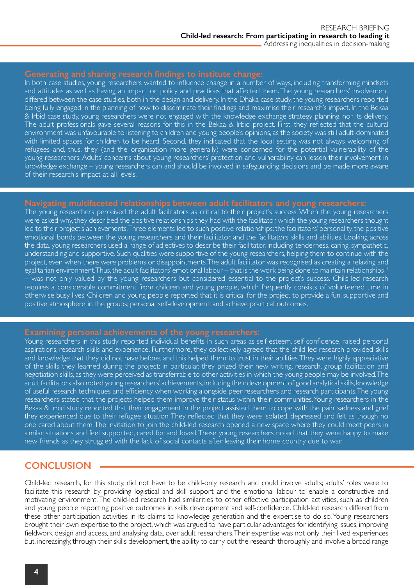In both case studies, young researchers wanted to influence change in a number of ways, including transforming mindsets and attitudes as well as having an impact on policy and practices that affected them. The young researchers' involvement differed between the case studies, both in the design and delivery. In the Dhaka case study, the young researchers reported being fully engaged in the planning of how to disseminate their findings and maximise their research's impact. In the Bekaa & Irbid case study, young researchers were not engaged with the knowledge exchange strategy planning, nor its delivery. The adult professionals gave several reasons for this in the Bekaa & Irbid project. First, they reflected that the cultural environment was unfavourable to listening to children and young people's opinions, as the society was still adult-dominated with limited spaces for children to be heard. Second, they indicated that the local setting was not always welcoming of refugees and, thus, they (and the organisation more generally) were concerned for the potential vulnerability of the young researchers. Adults' concerns about young researchers' protection and vulnerability can lessen their involvement in knowledge exchange – young researchers can and should be involved in safeguarding decisions and be made more aware of their research's impact at all levels.

The young researchers perceived the adult facilitators as critical to their project's success. When the young researchers were asked why, they described the positive relationships they had with the facilitator, which the young researchers thought led to their project's achievements. Three elements led to such positive relationships: the facilitators' personality, the positive emotional bonds between the young researchers and their facilitator, and the facilitators' skills and abilities. Looking across the data, young researchers used a range of adjectives to describe their facilitator, including tenderness, caring, sympathetic, understanding and supportive. Such qualities were supportive of the young researchers, helping them to continue with the project, even when there were problems or disappointments. The adult facilitator was recognised as creating a relaxing and egalitarian environment. Thus, the adult facilitators' emotional labour – that is the work being done to maintain relationships<sup>11</sup> – was not only valued by the young researchers but considered essential to the project's success. Child-led research requires a considerable commitment from children and young people, which frequently consists of volunteered time in otherwise busy lives. Children and young people reported that it is critical for the project to provide a fun, supportive and positive atmosphere in the groups; personal self-development; and achieve practical outcomes.

Young researchers in this study reported individual benefits in such areas as self-esteem, self-confidence, raised personal aspirations, research skills and experience. Furthermore, they collectively agreed that the child-led research provided skills and knowledge that they did not have before, and this helped them to trust in their abilities. They were highly appreciative of the skills they learned during the project; in particular, they prized their new writing, research, group facilitation and negotiation skills, as they were perceived as transferrable to other activities in which the young people may be involved. The adult facilitators also noted young researchers' achievements, including their development of good analytical skills, knowledge of useful research techniques and efficiency when working alongside peer researchers and research participants. The young researchers stated that the projects helped them improve their status within their communities. Young researchers in the Bekaa & Irbid study reported that their engagement in the project assisted them to cope with the pain, sadness and grief they experienced due to their refugee situation. They reflected that they were isolated, depressed and felt as though no one cared about them. The invitation to join the child-led research opened a new space where they could meet peers in similar situations and feel supported, cared for and loved. These young researchers noted that they were happy to make new friends as they struggled with the lack of social contacts after leaving their home country due to war.

### **CONCLUSION**

Child-led research, for this study, did not have to be child-only research and could involve adults; adults' roles were to facilitate this research by providing logistical and skill support and the emotional labour to enable a constructive and motivating environment. The child-led research had similarities to other effective participation activities, such as children and young people reporting positive outcomes in skills development and self-confidence. Child-led research differed from these other participation activities in its claims to knowledge generation and the expertise to do so. Young researchers brought their own expertise to the project, which was argued to have particular advantages for identifying issues, improving fieldwork design and access, and analysing data, over adult researchers. Their expertise was not only their lived experiences but, increasingly, through their skills development, the ability to carry out the research thoroughly and involve a broad range